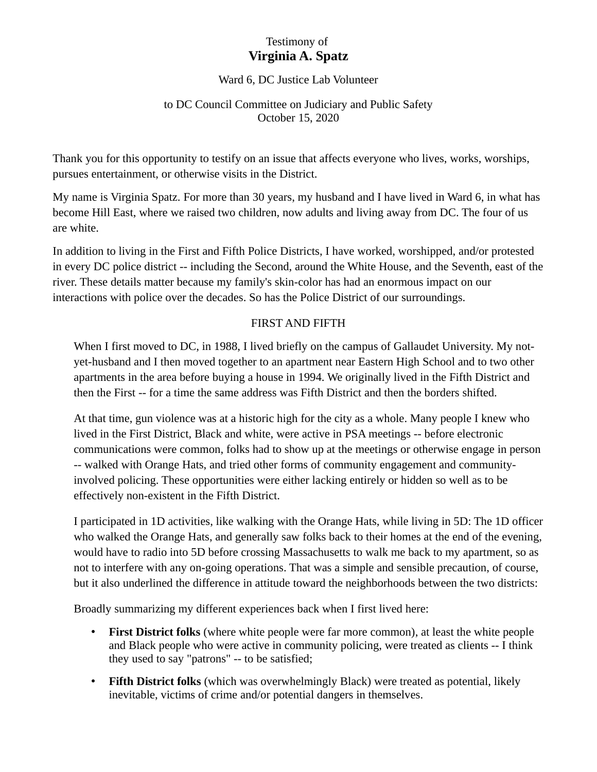# Testimony of **Virginia A. Spatz**

#### Ward 6, DC Justice Lab Volunteer

#### to DC Council Committee on Judiciary and Public Safety October 15, 2020

Thank you for this opportunity to testify on an issue that affects everyone who lives, works, worships, pursues entertainment, or otherwise visits in the District.

My name is Virginia Spatz. For more than 30 years, my husband and I have lived in Ward 6, in what has become Hill East, where we raised two children, now adults and living away from DC. The four of us are white.

In addition to living in the First and Fifth Police Districts, I have worked, worshipped, and/or protested in every DC police district -- including the Second, around the White House, and the Seventh, east of the river. These details matter because my family's skin-color has had an enormous impact on our interactions with police over the decades. So has the Police District of our surroundings.

#### FIRST AND FIFTH

When I first moved to DC, in 1988, I lived briefly on the campus of Gallaudet University. My notyet-husband and I then moved together to an apartment near Eastern High School and to two other apartments in the area before buying a house in 1994. We originally lived in the Fifth District and then the First -- for a time the same address was Fifth District and then the borders shifted.

At that time, gun violence was at a historic high for the city as a whole. Many people I knew who lived in the First District, Black and white, were active in PSA meetings -- before electronic communications were common, folks had to show up at the meetings or otherwise engage in person -- walked with Orange Hats, and tried other forms of community engagement and communityinvolved policing. These opportunities were either lacking entirely or hidden so well as to be effectively non-existent in the Fifth District.

I participated in 1D activities, like walking with the Orange Hats, while living in 5D: The 1D officer who walked the Orange Hats, and generally saw folks back to their homes at the end of the evening, would have to radio into 5D before crossing Massachusetts to walk me back to my apartment, so as not to interfere with any on-going operations. That was a simple and sensible precaution, of course, but it also underlined the difference in attitude toward the neighborhoods between the two districts:

Broadly summarizing my different experiences back when I first lived here:

- **First District folks** (where white people were far more common), at least the white people and Black people who were active in community policing, were treated as clients -- I think they used to say "patrons" -- to be satisfied;
- **Fifth District folks** (which was overwhelmingly Black) were treated as potential, likely inevitable, victims of crime and/or potential dangers in themselves.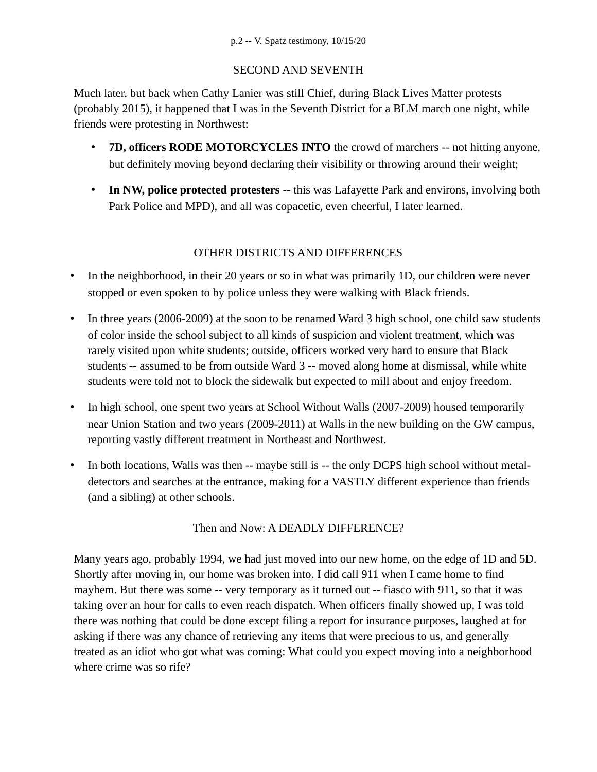## SECOND AND SEVENTH

Much later, but back when Cathy Lanier was still Chief, during Black Lives Matter protests (probably 2015), it happened that I was in the Seventh District for a BLM march one night, while friends were protesting in Northwest:

- **7D, officers RODE MOTORCYCLES INTO** the crowd of marchers -- not hitting anyone, but definitely moving beyond declaring their visibility or throwing around their weight;
- **In NW, police protected protesters** -- this was Lafayette Park and environs, involving both Park Police and MPD), and all was copacetic, even cheerful, I later learned.

## OTHER DISTRICTS AND DIFFERENCES

- In the neighborhood, in their 20 years or so in what was primarily 1D, our children were never stopped or even spoken to by police unless they were walking with Black friends.
- In three years (2006-2009) at the soon to be renamed Ward 3 high school, one child saw students of color inside the school subject to all kinds of suspicion and violent treatment, which was rarely visited upon white students; outside, officers worked very hard to ensure that Black students -- assumed to be from outside Ward 3 -- moved along home at dismissal, while white students were told not to block the sidewalk but expected to mill about and enjoy freedom.
- In high school, one spent two years at School Without Walls (2007-2009) housed temporarily near Union Station and two years (2009-2011) at Walls in the new building on the GW campus, reporting vastly different treatment in Northeast and Northwest.
- In both locations, Walls was then -- maybe still is -- the only DCPS high school without metaldetectors and searches at the entrance, making for a VASTLY different experience than friends (and a sibling) at other schools.

## Then and Now: A DEADLY DIFFERENCE?

Many years ago, probably 1994, we had just moved into our new home, on the edge of 1D and 5D. Shortly after moving in, our home was broken into. I did call 911 when I came home to find mayhem. But there was some -- very temporary as it turned out -- fiasco with 911, so that it was taking over an hour for calls to even reach dispatch. When officers finally showed up, I was told there was nothing that could be done except filing a report for insurance purposes, laughed at for asking if there was any chance of retrieving any items that were precious to us, and generally treated as an idiot who got what was coming: What could you expect moving into a neighborhood where crime was so rife?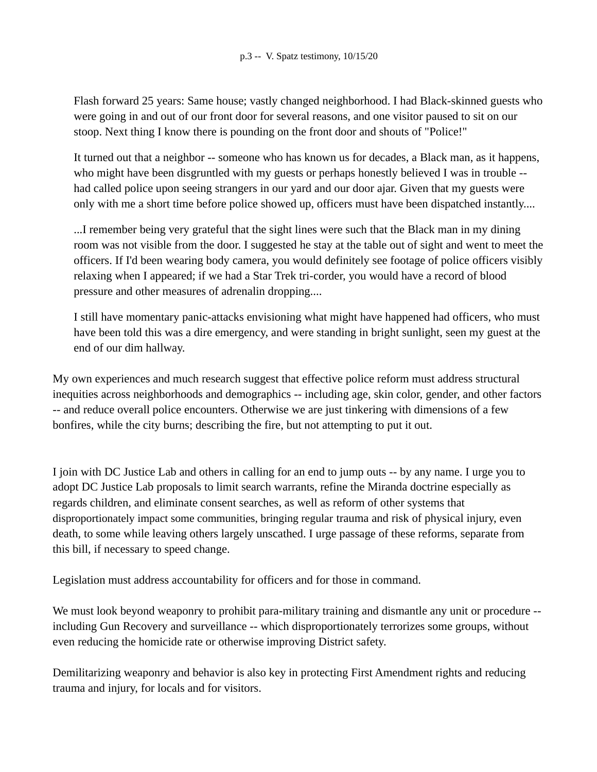Flash forward 25 years: Same house; vastly changed neighborhood. I had Black-skinned guests who were going in and out of our front door for several reasons, and one visitor paused to sit on our stoop. Next thing I know there is pounding on the front door and shouts of "Police!"

It turned out that a neighbor -- someone who has known us for decades, a Black man, as it happens, who might have been disgruntled with my guests or perhaps honestly believed I was in trouble - had called police upon seeing strangers in our yard and our door ajar. Given that my guests were only with me a short time before police showed up, officers must have been dispatched instantly....

...I remember being very grateful that the sight lines were such that the Black man in my dining room was not visible from the door. I suggested he stay at the table out of sight and went to meet the officers. If I'd been wearing body camera, you would definitely see footage of police officers visibly relaxing when I appeared; if we had a Star Trek tri-corder, you would have a record of blood pressure and other measures of adrenalin dropping....

I still have momentary panic-attacks envisioning what might have happened had officers, who must have been told this was a dire emergency, and were standing in bright sunlight, seen my guest at the end of our dim hallway.

My own experiences and much research suggest that effective police reform must address structural inequities across neighborhoods and demographics -- including age, skin color, gender, and other factors -- and reduce overall police encounters. Otherwise we are just tinkering with dimensions of a few bonfires, while the city burns; describing the fire, but not attempting to put it out.

I join with DC Justice Lab and others in calling for an end to jump outs -- by any name. I urge you to adopt DC Justice Lab proposals to limit search warrants, refine the Miranda doctrine especially as regards children, and eliminate consent searches, as well as reform of other systems that disproportionately impact some communities, bringing regular trauma and risk of physical injury, even death, to some while leaving others largely unscathed. I urge passage of these reforms, separate from this bill, if necessary to speed change.

Legislation must address accountability for officers and for those in command.

We must look beyond weaponry to prohibit para-military training and dismantle any unit or procedure - including Gun Recovery and surveillance -- which disproportionately terrorizes some groups, without even reducing the homicide rate or otherwise improving District safety.

Demilitarizing weaponry and behavior is also key in protecting First Amendment rights and reducing trauma and injury, for locals and for visitors.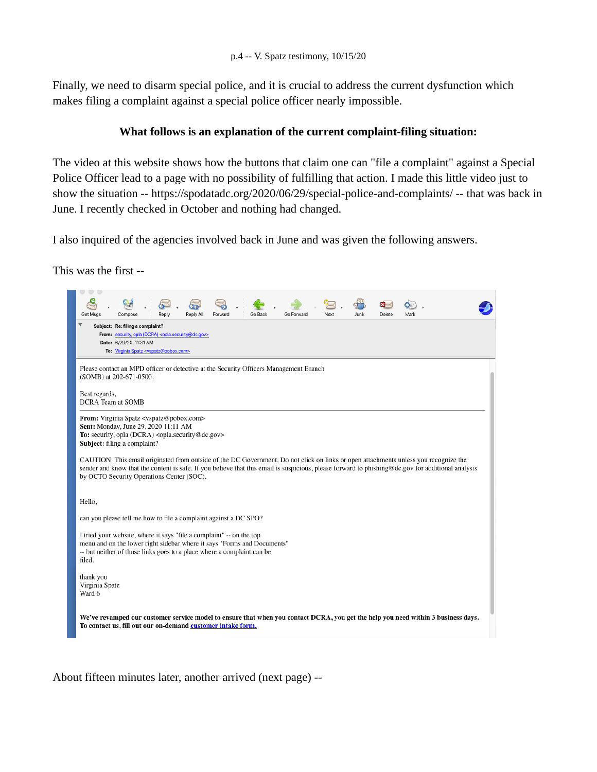Finally, we need to disarm special police, and it is crucial to address the current dysfunction which makes filing a complaint against a special police officer nearly impossible.

#### **What follows is an explanation of the current complaint-filing situation:**

The video at this website shows how the buttons that claim one can "file a complaint" against a Special Police Officer lead to a page with no possibility of fulfilling that action. I made this little video just to show the situation -- https://spodatadc.org/2020/06/29/special-police-and-complaints/ -- that was back in June. I recently checked in October and nothing had changed.

I also inquired of the agencies involved back in June and was given the following answers.

This was the first --



About fifteen minutes later, another arrived (next page) --